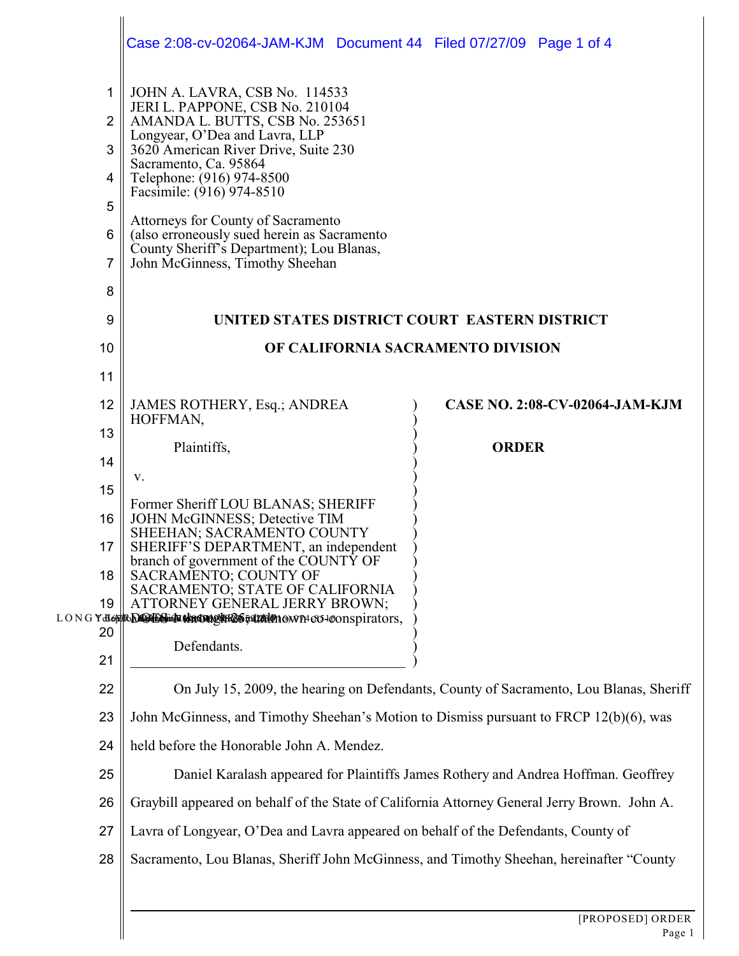|                                              | Case 2:08-cv-02064-JAM-KJM Document 44 Filed 07/27/09 Page 1 of 4                                                                                                                                                                                                                                                                                                                                                                     |                                       |
|----------------------------------------------|---------------------------------------------------------------------------------------------------------------------------------------------------------------------------------------------------------------------------------------------------------------------------------------------------------------------------------------------------------------------------------------------------------------------------------------|---------------------------------------|
| 1<br>$\overline{2}$<br>3<br>4<br>5<br>6<br>7 | JOHN A. LAVRA, CSB No. 114533<br>JERI L. PAPPONE, CSB No. 210104<br>AMANDA L. BUTTS, CSB No. 253651<br>Longyear, O'Dea and Lavra, LLP<br>3620 American River Drive, Suite 230<br>Sacramento, Ca. 95864<br>Telephone: (916) 974-8500<br>Facsimile: (916) 974-8510<br>Attorneys for County of Sacramento<br>(also erroneously sued herein as Sacramento<br>County Sheriff's Department); Lou Blanas,<br>John McGinness, Timothy Sheehan |                                       |
| 8                                            |                                                                                                                                                                                                                                                                                                                                                                                                                                       |                                       |
| 9                                            | UNITED STATES DISTRICT COURT EASTERN DISTRICT                                                                                                                                                                                                                                                                                                                                                                                         |                                       |
| 10                                           | OF CALIFORNIA SACRAMENTO DIVISION                                                                                                                                                                                                                                                                                                                                                                                                     |                                       |
| 11                                           |                                                                                                                                                                                                                                                                                                                                                                                                                                       |                                       |
| 12                                           | JAMES ROTHERY, Esq.; ANDREA                                                                                                                                                                                                                                                                                                                                                                                                           | <b>CASE NO. 2:08-CV-02064-JAM-KJM</b> |
| 13                                           | HOFFMAN,                                                                                                                                                                                                                                                                                                                                                                                                                              |                                       |
| 14                                           | Plaintiffs,                                                                                                                                                                                                                                                                                                                                                                                                                           | <b>ORDER</b>                          |
| 15                                           | V.                                                                                                                                                                                                                                                                                                                                                                                                                                    |                                       |
| 16                                           | Former Sheriff LOU BLANAS; SHERIFF<br>JOHN McGINNESS; Detective TIM                                                                                                                                                                                                                                                                                                                                                                   |                                       |
| 17                                           | SHEEHAN; SACRAMENTO COUNTY<br>SHERIFF'S DEPARTMENT, an independent<br>branch of government of the COUNTY OF                                                                                                                                                                                                                                                                                                                           |                                       |
| 18                                           | SACRAMENTO; COUNTY OF<br>SACRAMENTO; STATE OF CALIFORNIA                                                                                                                                                                                                                                                                                                                                                                              |                                       |
| 19                                           | ATTORNEY GENERAL JERRY BROWN;                                                                                                                                                                                                                                                                                                                                                                                                         |                                       |
| 20                                           | LONGY <del>-B68 RACCLES IN CHARMES FILM O</del> 10WP1-CO-100nspirators,                                                                                                                                                                                                                                                                                                                                                               |                                       |
| 21                                           | Defendants.                                                                                                                                                                                                                                                                                                                                                                                                                           |                                       |
| 22                                           | On July 15, 2009, the hearing on Defendants, County of Sacramento, Lou Blanas, Sheriff                                                                                                                                                                                                                                                                                                                                                |                                       |
| 23                                           | John McGinness, and Timothy Sheehan's Motion to Dismiss pursuant to FRCP 12(b)(6), was                                                                                                                                                                                                                                                                                                                                                |                                       |
| 24                                           | held before the Honorable John A. Mendez.                                                                                                                                                                                                                                                                                                                                                                                             |                                       |
| 25                                           | Daniel Karalash appeared for Plaintiffs James Rothery and Andrea Hoffman. Geoffrey                                                                                                                                                                                                                                                                                                                                                    |                                       |
| 26                                           | Graybill appeared on behalf of the State of California Attorney General Jerry Brown. John A.                                                                                                                                                                                                                                                                                                                                          |                                       |
| 27                                           | Lavra of Longyear, O'Dea and Lavra appeared on behalf of the Defendants, County of                                                                                                                                                                                                                                                                                                                                                    |                                       |
| 28                                           | Sacramento, Lou Blanas, Sheriff John McGinness, and Timothy Sheehan, hereinafter "County                                                                                                                                                                                                                                                                                                                                              |                                       |
|                                              |                                                                                                                                                                                                                                                                                                                                                                                                                                       |                                       |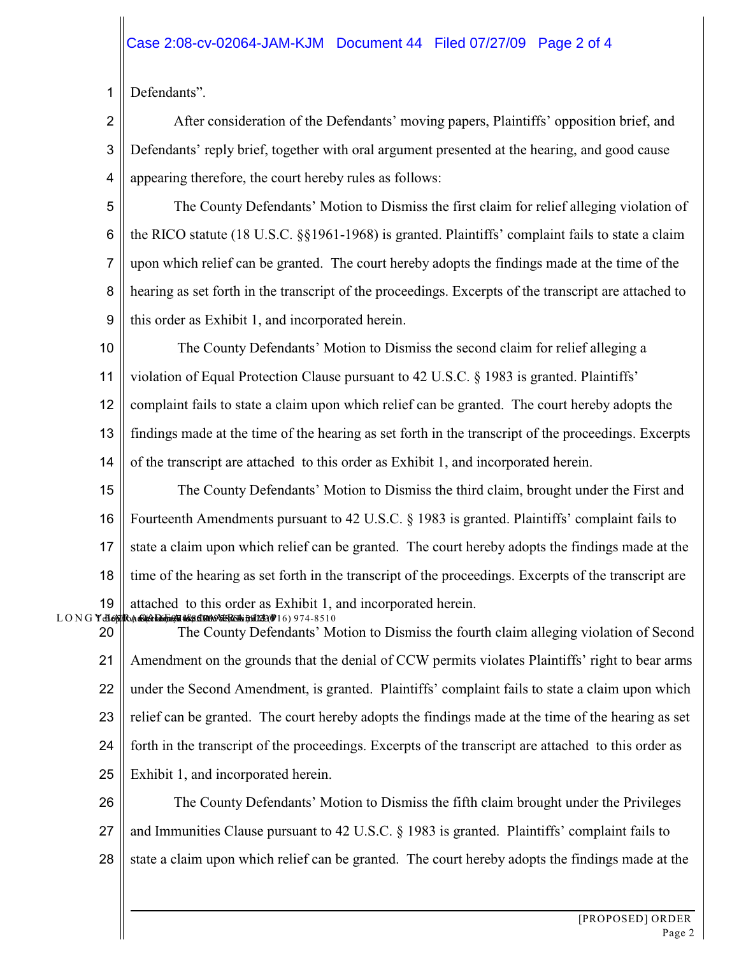1 Defendants".

2 3 4 After consideration of the Defendants' moving papers, Plaintiffs' opposition brief, and Defendants' reply brief, together with oral argument presented at the hearing, and good cause appearing therefore, the court hereby rules as follows:

5 6 7 8 9 The County Defendants' Motion to Dismiss the first claim for relief alleging violation of the RICO statute (18 U.S.C. §§1961-1968) is granted. Plaintiffs' complaint fails to state a claim upon which relief can be granted. The court hereby adopts the findings made at the time of the hearing as set forth in the transcript of the proceedings. Excerpts of the transcript are attached to this order as Exhibit 1, and incorporated herein.

10 11 The County Defendants' Motion to Dismiss the second claim for relief alleging a violation of Equal Protection Clause pursuant to 42 U.S.C. § 1983 is granted. Plaintiffs'

12 13 14 complaint fails to state a claim upon which relief can be granted. The court hereby adopts the findings made at the time of the hearing as set forth in the transcript of the proceedings. Excerpts of the transcript are attached to this order as Exhibit 1, and incorporated herein.

15 16 17 18 19<br>LONG **Y** do  $\lambda$ a Griel Raamen aks om Antarn E Ann 2300 (  $\lambda$  ) 974 -  $8510$  The County Defendants' Motion to Dismiss the third claim, brought under the First and Fourteenth Amendments pursuant to 42 U.S.C. § 1983 is granted. Plaintiffs' complaint fails to state a claim upon which relief can be granted. The court hereby adopts the findings made at the time of the hearing as set forth in the transcript of the proceedings. Excerpts of the transcript are attached to this order as Exhibit 1, and incorporated herein.

20 21 22 23 24 25 The County Defendants' Motion to Dismiss the fourth claim alleging violation of Second Amendment on the grounds that the denial of CCW permits violates Plaintiffs' right to bear arms under the Second Amendment, is granted. Plaintiffs' complaint fails to state a claim upon which relief can be granted. The court hereby adopts the findings made at the time of the hearing as set forth in the transcript of the proceedings. Excerpts of the transcript are attached to this order as Exhibit 1, and incorporated herein.

26 27 28 The County Defendants' Motion to Dismiss the fifth claim brought under the Privileges and Immunities Clause pursuant to 42 U.S.C. § 1983 is granted. Plaintiffs' complaint fails to state a claim upon which relief can be granted. The court hereby adopts the findings made at the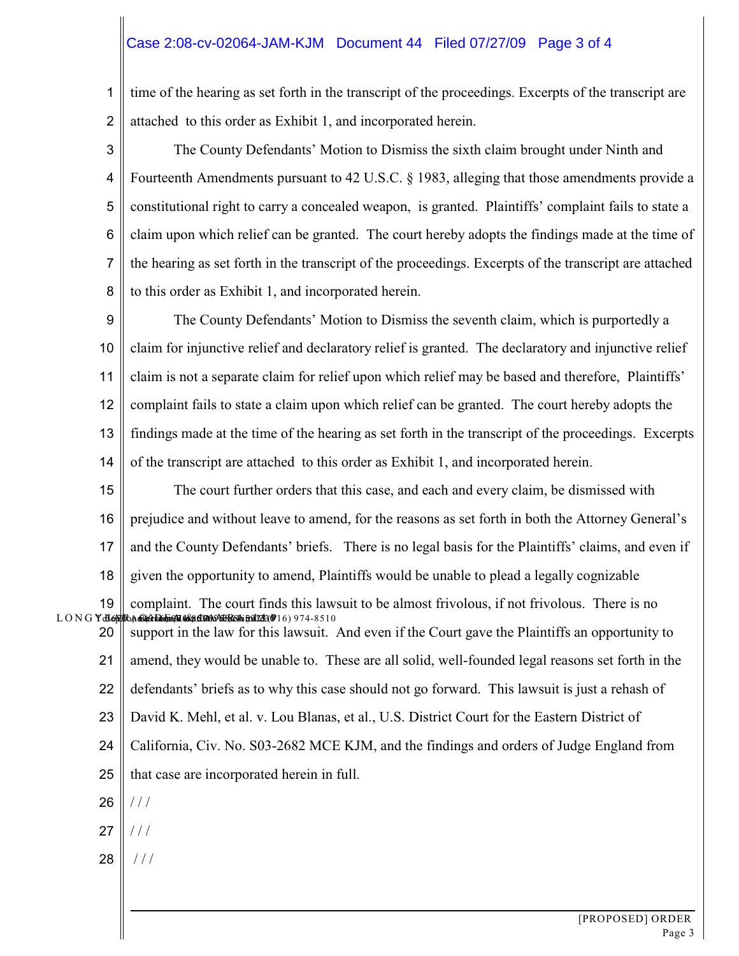## Case 2:08-cv-02064-JAM-KJM Document 44 Filed 07/27/09 Page 3 of 4

1 2 time of the hearing as set forth in the transcript of the proceedings. Excerpts of the transcript are attached to this order as Exhibit 1, and incorporated herein.

3 4 5 6 7 8 The County Defendants' Motion to Dismiss the sixth claim brought under Ninth and Fourteenth Amendments pursuant to 42 U.S.C. § 1983, alleging that those amendments provide a constitutional right to carry a concealed weapon, is granted. Plaintiffs' complaint fails to state a claim upon which relief can be granted. The court hereby adopts the findings made at the time of the hearing as set forth in the transcript of the proceedings. Excerpts of the transcript are attached to this order as Exhibit 1, and incorporated herein.

9 10 11 12 13 14 The County Defendants' Motion to Dismiss the seventh claim, which is purportedly a claim for injunctive relief and declaratory relief is granted. The declaratory and injunctive relief claim is not a separate claim for relief upon which relief may be based and therefore, Plaintiffs' complaint fails to state a claim upon which relief can be granted. The court hereby adopts the findings made at the time of the hearing as set forth in the transcript of the proceedings. Excerpts of the transcript are attached to this order as Exhibit 1, and incorporated herein.

15 16 17 18 The court further orders that this case, and each and every claim, be dismissed with prejudice and without leave to amend, for the reasons as set forth in both the Attorney General's and the County Defendants' briefs. There is no legal basis for the Plaintiffs' claims, and even if given the opportunity to amend, Plaintiffs would be unable to plead a legally cognizable

19<br>LONG Y<del>a</del>g 20  $\widehat{\mathcal{C}}$  an  $\widehat{\mathcal{C}}$  and  $\widehat{\mathcal{C}}$  and  $\widehat{\mathcal{C}}$  and  $\widehat{\mathcal{C}}$  and  $\widehat{\mathcal{C}}$  and  $\widehat{\mathcal{C}}$  if  $\widehat{\mathcal{C}}$  if  $\widehat{\mathcal{C}}$  if  $\widehat{\mathcal{C}}$  if  $\widehat{\mathcal{C}}$  if  $\widehat{\mathcal{C}}$  is in  $\widehat{\mathcal{C}}$  if  $\widehat{\mathcal{C}}$  is in complaint. The court finds this lawsuit to be almost frivolous, if not frivolous. There is no support in the law for this lawsuit. And even if the Court gave the Plaintiffs an opportunity to

21 22 23 amend, they would be unable to. These are all solid, well-founded legal reasons set forth in the defendants' briefs as to why this case should not go forward. This lawsuit is just a rehash of David K. Mehl, et al. v. Lou Blanas, et al., U.S. District Court for the Eastern District of

- 24 California, Civ. No. S03-2682 MCE KJM, and the findings and orders of Judge England from
- 25 that case are incorporated herein in full.
- 26  $/ /$
- 27  $/ /$
- 28 / / /